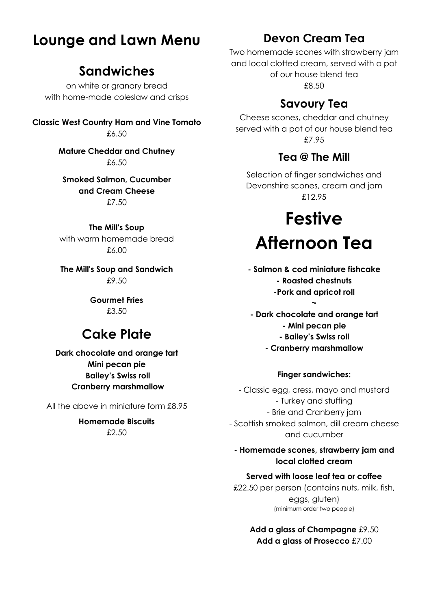# **Lounge and Lawn Menu**

## **Sandwiches**

on white or granary bread with home-made coleslaw and crisps

**Classic West Country Ham and Vine Tomato** £6.50

> **Mature Cheddar and Chutney** £6.50

**Smoked Salmon, Cucumber and Cream Cheese** £7.50

**The Mill's Soup** with warm homemade bread £6.00

**The Mill's Soup and Sandwich** £9.50

> **Gourmet Fries**  £3.50

## **Cake Plate**

**Dark chocolate and orange tart Mini pecan pie Bailey's Swiss roll Cranberry marshmallow**

All the above in miniature form £8.95

**Homemade Biscuits** £2.50

## **Devon Cream Tea**

Two homemade scones with strawberry jam and local clotted cream, served with a pot of our house blend tea £8.50

## **Savoury Tea**

Cheese scones, cheddar and chutney served with a pot of our house blend tea £7.95

### **Tea @ The Mill**

Selection of finger sandwiches and Devonshire scones, cream and jam £12.95

# **Festive Afternoon Tea**

**- Salmon & cod miniature fishcake - Roasted chestnuts -Pork and apricot roll** 

**~**

**- Dark chocolate and orange tart - Mini pecan pie - Bailey's Swiss roll - Cranberry marshmallow**

#### **Finger sandwiches:**

- Classic egg, cress, mayo and mustard - Turkey and stuffing - Brie and Cranberry jam - Scottish smoked salmon, dill cream cheese and cucumber

#### **- Homemade scones, strawberry jam and local clotted cream**

#### **Served with loose leaf tea or coffee**

£22.50 per person (contains nuts, milk, fish, eggs, gluten) (minimum order two people)

> **Add a glass of Champagne** £9.50 **Add a glass of Prosecco** £7.00